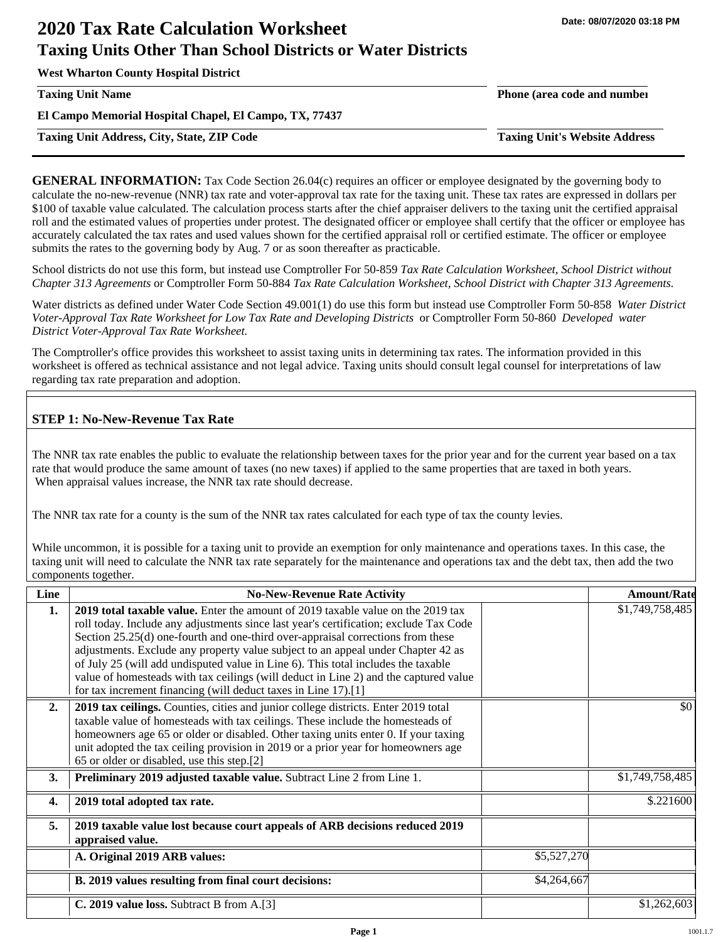**West Wharton County Hospital District**

**Taxing Unit Name Phone (area code and number**

**El Campo Memorial Hospital Chapel, El Campo, TX, 77437**

**Taxing Unit Address, City, State, ZIP Code Taxing Unit's Website Address**

**GENERAL INFORMATION:** Tax Code Section 26.04(c) requires an officer or employee designated by the governing body to calculate the no-new-revenue (NNR) tax rate and voter-approval tax rate for the taxing unit. These tax rates are expressed in dollars per \$100 of taxable value calculated. The calculation process starts after the chief appraiser delivers to the taxing unit the certified appraisal roll and the estimated values of properties under protest. The designated officer or employee shall certify that the officer or employee has accurately calculated the tax rates and used values shown for the certified appraisal roll or certified estimate. The officer or employee submits the rates to the governing body by Aug. 7 or as soon thereafter as practicable.

School districts do not use this form, but instead use Comptroller For 50-859 *Tax Rate Calculation Worksheet, School District without Chapter 313 Agreements* or Comptroller Form 50-884 *Tax Rate Calculation Worksheet, School District with Chapter 313 Agreements.*

Water districts as defined under Water Code Section 49.001(1) do use this form but instead use Comptroller Form 50-858 *Water District Voter-Approval Tax Rate Worksheet for Low Tax Rate and Developing Districts* or Comptroller Form 50-860 *Developed water District Voter-Approval Tax Rate Worksheet.*

The Comptroller's office provides this worksheet to assist taxing units in determining tax rates. The information provided in this worksheet is offered as technical assistance and not legal advice. Taxing units should consult legal counsel for interpretations of law regarding tax rate preparation and adoption.

## **STEP 1: No-New-Revenue Tax Rate**

The NNR tax rate enables the public to evaluate the relationship between taxes for the prior year and for the current year based on a tax rate that would produce the same amount of taxes (no new taxes) if applied to the same properties that are taxed in both years. When appraisal values increase, the NNR tax rate should decrease.

The NNR tax rate for a county is the sum of the NNR tax rates calculated for each type of tax the county levies.

While uncommon, it is possible for a taxing unit to provide an exemption for only maintenance and operations taxes. In this case, the taxing unit will need to calculate the NNR tax rate separately for the maintenance and operations tax and the debt tax, then add the two components together.

| Line | <b>No-New-Revenue Rate Activity</b>                                                                                                                                                                                                                                                                                                                                                                                                                                                                                                                                                             |             | <b>Amount/Rate</b> |
|------|-------------------------------------------------------------------------------------------------------------------------------------------------------------------------------------------------------------------------------------------------------------------------------------------------------------------------------------------------------------------------------------------------------------------------------------------------------------------------------------------------------------------------------------------------------------------------------------------------|-------------|--------------------|
| 1.   | 2019 total taxable value. Enter the amount of 2019 taxable value on the 2019 tax<br>roll today. Include any adjustments since last year's certification; exclude Tax Code<br>Section 25.25(d) one-fourth and one-third over-appraisal corrections from these<br>adjustments. Exclude any property value subject to an appeal under Chapter 42 as<br>of July 25 (will add undisputed value in Line 6). This total includes the taxable<br>value of homesteads with tax ceilings (will deduct in Line 2) and the captured value<br>for tax increment financing (will deduct taxes in Line 17).[1] |             | \$1,749,758,485    |
| 2.   | 2019 tax ceilings. Counties, cities and junior college districts. Enter 2019 total<br>taxable value of homesteads with tax ceilings. These include the homesteads of<br>homeowners age 65 or older or disabled. Other taxing units enter 0. If your taxing<br>unit adopted the tax ceiling provision in 2019 or a prior year for homeowners age<br>65 or older or disabled, use this step.[2]                                                                                                                                                                                                   |             | \$0                |
| 3.   | <b>Preliminary 2019 adjusted taxable value.</b> Subtract Line 2 from Line 1.                                                                                                                                                                                                                                                                                                                                                                                                                                                                                                                    |             | \$1,749,758,485    |
| 4.   | 2019 total adopted tax rate.                                                                                                                                                                                                                                                                                                                                                                                                                                                                                                                                                                    |             | \$.221600          |
| 5.   | 2019 taxable value lost because court appeals of ARB decisions reduced 2019<br>appraised value.                                                                                                                                                                                                                                                                                                                                                                                                                                                                                                 |             |                    |
|      | A. Original 2019 ARB values:                                                                                                                                                                                                                                                                                                                                                                                                                                                                                                                                                                    | \$5,527,270 |                    |
|      | B. 2019 values resulting from final court decisions:                                                                                                                                                                                                                                                                                                                                                                                                                                                                                                                                            | \$4,264,667 |                    |
|      | C. 2019 value loss. Subtract B from A.[3]                                                                                                                                                                                                                                                                                                                                                                                                                                                                                                                                                       |             | \$1,262,603        |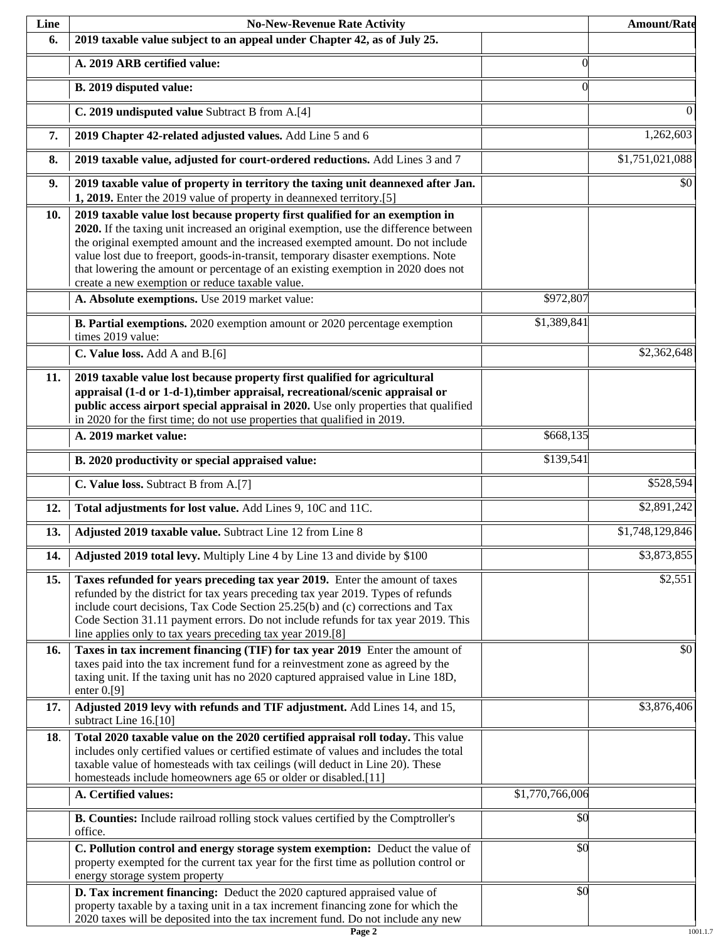| Line | <b>No-New-Revenue Rate Activity</b>                                                                                                                                                                                                                                                                                                                                                                                                                                                |                 | <b>Amount/Rate</b> |
|------|------------------------------------------------------------------------------------------------------------------------------------------------------------------------------------------------------------------------------------------------------------------------------------------------------------------------------------------------------------------------------------------------------------------------------------------------------------------------------------|-----------------|--------------------|
| 6.   | 2019 taxable value subject to an appeal under Chapter 42, as of July 25.                                                                                                                                                                                                                                                                                                                                                                                                           |                 |                    |
|      | A. 2019 ARB certified value:                                                                                                                                                                                                                                                                                                                                                                                                                                                       | $\Omega$        |                    |
|      | B. 2019 disputed value:                                                                                                                                                                                                                                                                                                                                                                                                                                                            | $\Omega$        |                    |
|      | C. 2019 undisputed value Subtract B from A.[4]                                                                                                                                                                                                                                                                                                                                                                                                                                     |                 | $\Omega$           |
| 7.   | 2019 Chapter 42-related adjusted values. Add Line 5 and 6                                                                                                                                                                                                                                                                                                                                                                                                                          |                 | 1,262,603          |
| 8.   | 2019 taxable value, adjusted for court-ordered reductions. Add Lines 3 and 7                                                                                                                                                                                                                                                                                                                                                                                                       |                 | \$1,751,021,088    |
| 9.   | 2019 taxable value of property in territory the taxing unit deannexed after Jan.<br>1, 2019. Enter the 2019 value of property in deannexed territory.[5]                                                                                                                                                                                                                                                                                                                           |                 | \$0                |
| 10.  | 2019 taxable value lost because property first qualified for an exemption in<br>2020. If the taxing unit increased an original exemption, use the difference between<br>the original exempted amount and the increased exempted amount. Do not include<br>value lost due to freeport, goods-in-transit, temporary disaster exemptions. Note<br>that lowering the amount or percentage of an existing exemption in 2020 does not<br>create a new exemption or reduce taxable value. |                 |                    |
|      | A. Absolute exemptions. Use 2019 market value:                                                                                                                                                                                                                                                                                                                                                                                                                                     | \$972,807       |                    |
|      | B. Partial exemptions. 2020 exemption amount or 2020 percentage exemption<br>times 2019 value:                                                                                                                                                                                                                                                                                                                                                                                     | \$1,389,841     |                    |
|      | C. Value loss. Add A and B.[6]                                                                                                                                                                                                                                                                                                                                                                                                                                                     |                 | \$2,362,648        |
| 11.  | 2019 taxable value lost because property first qualified for agricultural<br>appraisal (1-d or 1-d-1), timber appraisal, recreational/scenic appraisal or<br>public access airport special appraisal in 2020. Use only properties that qualified<br>in 2020 for the first time; do not use properties that qualified in 2019.                                                                                                                                                      |                 |                    |
|      | A. 2019 market value:                                                                                                                                                                                                                                                                                                                                                                                                                                                              | \$668,135       |                    |
|      | B. 2020 productivity or special appraised value:                                                                                                                                                                                                                                                                                                                                                                                                                                   | \$139,541       |                    |
|      | C. Value loss. Subtract B from A.[7]                                                                                                                                                                                                                                                                                                                                                                                                                                               |                 | \$528,594          |
| 12.  | Total adjustments for lost value. Add Lines 9, 10C and 11C.                                                                                                                                                                                                                                                                                                                                                                                                                        |                 | \$2,891,242        |
| 13.  | Adjusted 2019 taxable value. Subtract Line 12 from Line 8                                                                                                                                                                                                                                                                                                                                                                                                                          |                 | \$1,748,129,846    |
| 14.  | Adjusted 2019 total levy. Multiply Line 4 by Line 13 and divide by \$100                                                                                                                                                                                                                                                                                                                                                                                                           |                 | \$3,873,855        |
| 15.  | Taxes refunded for years preceding tax year 2019. Enter the amount of taxes<br>refunded by the district for tax years preceding tax year 2019. Types of refunds<br>include court decisions, Tax Code Section 25.25(b) and (c) corrections and Tax<br>Code Section 31.11 payment errors. Do not include refunds for tax year 2019. This<br>line applies only to tax years preceding tax year 2019.[8]                                                                               |                 | \$2,551            |
| 16.  | Taxes in tax increment financing (TIF) for tax year 2019 Enter the amount of<br>taxes paid into the tax increment fund for a reinvestment zone as agreed by the<br>taxing unit. If the taxing unit has no 2020 captured appraised value in Line 18D,<br>enter $0.9$ ]                                                                                                                                                                                                              |                 | \$0                |
| 17.  | Adjusted 2019 levy with refunds and TIF adjustment. Add Lines 14, and 15,<br>subtract Line 16.[10]                                                                                                                                                                                                                                                                                                                                                                                 |                 | \$3,876,406        |
| 18.  | Total 2020 taxable value on the 2020 certified appraisal roll today. This value<br>includes only certified values or certified estimate of values and includes the total<br>taxable value of homesteads with tax ceilings (will deduct in Line 20). These<br>homesteads include homeowners age 65 or older or disabled.[11]                                                                                                                                                        |                 |                    |
|      | A. Certified values:                                                                                                                                                                                                                                                                                                                                                                                                                                                               | \$1,770,766,006 |                    |
|      | B. Counties: Include railroad rolling stock values certified by the Comptroller's<br>office.                                                                                                                                                                                                                                                                                                                                                                                       | \$0             |                    |
|      | C. Pollution control and energy storage system exemption: Deduct the value of<br>property exempted for the current tax year for the first time as pollution control or<br>energy storage system property                                                                                                                                                                                                                                                                           | \$0             |                    |
|      | D. Tax increment financing: Deduct the 2020 captured appraised value of<br>property taxable by a taxing unit in a tax increment financing zone for which the<br>2020 taxes will be deposited into the tax increment fund. Do not include any new                                                                                                                                                                                                                                   | \$0             |                    |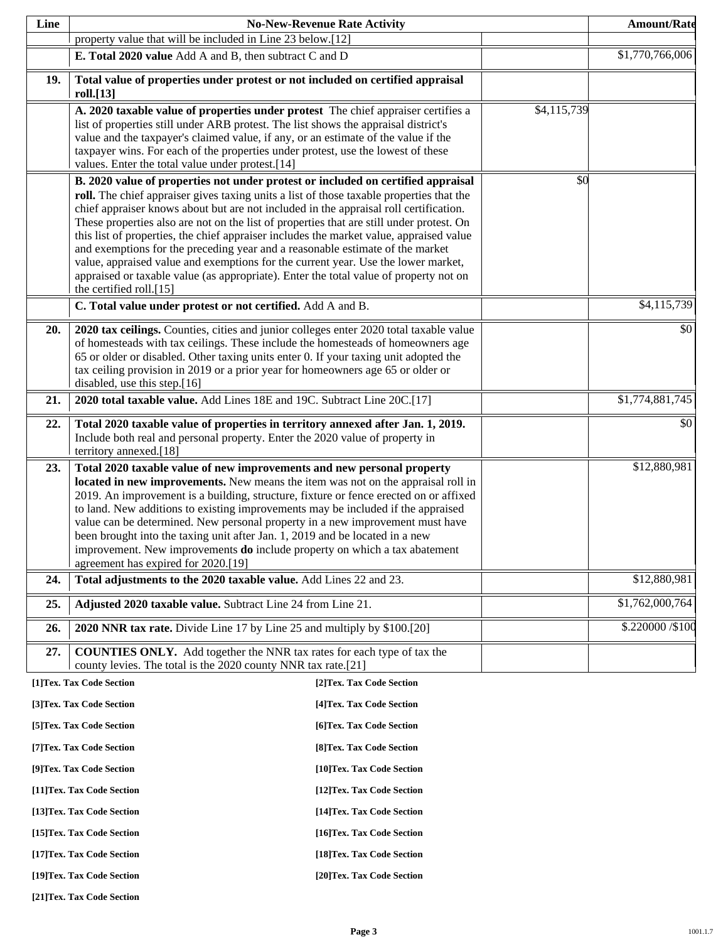| property value that will be included in Line 23 below.[12]<br>\$1,770,766,006<br>E. Total 2020 value Add A and B, then subtract C and D<br>19.<br>Total value of properties under protest or not included on certified appraisal<br>roll.[13]<br>\$4,115,739<br>A. 2020 taxable value of properties under protest The chief appraiser certifies a<br>list of properties still under ARB protest. The list shows the appraisal district's<br>value and the taxpayer's claimed value, if any, or an estimate of the value if the<br>taxpayer wins. For each of the properties under protest, use the lowest of these<br>values. Enter the total value under protest.[14]<br>\$0<br>B. 2020 value of properties not under protest or included on certified appraisal<br>roll. The chief appraiser gives taxing units a list of those taxable properties that the<br>chief appraiser knows about but are not included in the appraisal roll certification.<br>These properties also are not on the list of properties that are still under protest. On<br>this list of properties, the chief appraiser includes the market value, appraised value<br>and exemptions for the preceding year and a reasonable estimate of the market<br>value, appraised value and exemptions for the current year. Use the lower market,<br>appraised or taxable value (as appropriate). Enter the total value of property not on<br>the certified roll.[15]<br>C. Total value under protest or not certified. Add A and B.<br>2020 tax ceilings. Counties, cities and junior colleges enter 2020 total taxable value<br>20.<br>of homesteads with tax ceilings. These include the homesteads of homeowners age<br>65 or older or disabled. Other taxing units enter 0. If your taxing unit adopted the<br>tax ceiling provision in 2019 or a prior year for homeowners age 65 or older or<br>disabled, use this step.[16]<br>$\overline{31,774,881,745}$<br>2020 total taxable value. Add Lines 18E and 19C. Subtract Line 20C.[17]<br>21.<br>22.<br>Total 2020 taxable value of properties in territory annexed after Jan. 1, 2019.<br>Include both real and personal property. Enter the 2020 value of property in<br>territory annexed.[18]<br>\$12,880,981<br>Total 2020 taxable value of new improvements and new personal property<br>23.<br>located in new improvements. New means the item was not on the appraisal roll in<br>2019. An improvement is a building, structure, fixture or fence erected on or affixed<br>to land. New additions to existing improvements may be included if the appraised<br>value can be determined. New personal property in a new improvement must have<br>been brought into the taxing unit after Jan. 1, 2019 and be located in a new<br>improvement. New improvements <b>do</b> include property on which a tax abatement<br>agreement has expired for 2020.[19]<br>\$12,880,981<br>Total adjustments to the 2020 taxable value. Add Lines 22 and 23.<br>24.<br>\$1,762,000,764<br>Adjusted 2020 taxable value. Subtract Line 24 from Line 21.<br>25.<br>2020 NNR tax rate. Divide Line 17 by Line 25 and multiply by \$100.[20]<br>26.<br><b>COUNTIES ONLY.</b> Add together the NNR tax rates for each type of tax the<br>27.<br>county levies. The total is the 2020 county NNR tax rate.[21]<br>[1]Tex. Tax Code Section<br>[2]Tex. Tax Code Section<br>[3]Tex. Tax Code Section<br>[4] Tex. Tax Code Section<br>[5]Tex. Tax Code Section<br>[6] Tex. Tax Code Section<br>[7] Tex. Tax Code Section<br>[8] Tex. Tax Code Section<br>[9]Tex. Tax Code Section<br>[10]Tex. Tax Code Section<br>[11] Tex. Tax Code Section<br>[12] Tex. Tax Code Section<br>[13] Tex. Tax Code Section<br>[14] Tex. Tax Code Section<br>[15] Tex. Tax Code Section<br>[16] Tex. Tax Code Section<br>[17] Tex. Tax Code Section<br>[18] Tex. Tax Code Section<br>[19]Tex. Tax Code Section | Line | <b>No-New-Revenue Rate Activity</b> | <b>Amount/Rate</b> |
|-----------------------------------------------------------------------------------------------------------------------------------------------------------------------------------------------------------------------------------------------------------------------------------------------------------------------------------------------------------------------------------------------------------------------------------------------------------------------------------------------------------------------------------------------------------------------------------------------------------------------------------------------------------------------------------------------------------------------------------------------------------------------------------------------------------------------------------------------------------------------------------------------------------------------------------------------------------------------------------------------------------------------------------------------------------------------------------------------------------------------------------------------------------------------------------------------------------------------------------------------------------------------------------------------------------------------------------------------------------------------------------------------------------------------------------------------------------------------------------------------------------------------------------------------------------------------------------------------------------------------------------------------------------------------------------------------------------------------------------------------------------------------------------------------------------------------------------------------------------------------------------------------------------------------------------------------------------------------------------------------------------------------------------------------------------------------------------------------------------------------------------------------------------------------------------------------------------------------------------------------------------------------------------------------------------------------------------------------------------------------------------------------------------------------------------------------------------------------------------------------------------------------------------------------------------------------------------------------------------------------------------------------------------------------------------------------------------------------------------------------------------------------------------------------------------------------------------------------------------------------------------------------------------------------------------------------------------------------------------------------------------------------------------------------------------------------------------------------------------------------------------------------------------------------------------------------------------------------------------------------------------------------------------------------------------------------------------------------------------------------------------------------------------------------------------------------------------------------------------------------------------------------------------------------------------------------------------------------------------------------------------------------------------------------------------------------------------------------------------------------------------------------------------------------------------------------------------------------------------------------------------------------------|------|-------------------------------------|--------------------|
|                                                                                                                                                                                                                                                                                                                                                                                                                                                                                                                                                                                                                                                                                                                                                                                                                                                                                                                                                                                                                                                                                                                                                                                                                                                                                                                                                                                                                                                                                                                                                                                                                                                                                                                                                                                                                                                                                                                                                                                                                                                                                                                                                                                                                                                                                                                                                                                                                                                                                                                                                                                                                                                                                                                                                                                                                                                                                                                                                                                                                                                                                                                                                                                                                                                                                                                                                                                                                                                                                                                                                                                                                                                                                                                                                                                                                                                                                                     |      |                                     |                    |
|                                                                                                                                                                                                                                                                                                                                                                                                                                                                                                                                                                                                                                                                                                                                                                                                                                                                                                                                                                                                                                                                                                                                                                                                                                                                                                                                                                                                                                                                                                                                                                                                                                                                                                                                                                                                                                                                                                                                                                                                                                                                                                                                                                                                                                                                                                                                                                                                                                                                                                                                                                                                                                                                                                                                                                                                                                                                                                                                                                                                                                                                                                                                                                                                                                                                                                                                                                                                                                                                                                                                                                                                                                                                                                                                                                                                                                                                                                     |      |                                     |                    |
|                                                                                                                                                                                                                                                                                                                                                                                                                                                                                                                                                                                                                                                                                                                                                                                                                                                                                                                                                                                                                                                                                                                                                                                                                                                                                                                                                                                                                                                                                                                                                                                                                                                                                                                                                                                                                                                                                                                                                                                                                                                                                                                                                                                                                                                                                                                                                                                                                                                                                                                                                                                                                                                                                                                                                                                                                                                                                                                                                                                                                                                                                                                                                                                                                                                                                                                                                                                                                                                                                                                                                                                                                                                                                                                                                                                                                                                                                                     |      |                                     |                    |
| \$4,115,739                                                                                                                                                                                                                                                                                                                                                                                                                                                                                                                                                                                                                                                                                                                                                                                                                                                                                                                                                                                                                                                                                                                                                                                                                                                                                                                                                                                                                                                                                                                                                                                                                                                                                                                                                                                                                                                                                                                                                                                                                                                                                                                                                                                                                                                                                                                                                                                                                                                                                                                                                                                                                                                                                                                                                                                                                                                                                                                                                                                                                                                                                                                                                                                                                                                                                                                                                                                                                                                                                                                                                                                                                                                                                                                                                                                                                                                                                         |      |                                     |                    |
| \$0<br>\$0<br>\$.220000 / \$100                                                                                                                                                                                                                                                                                                                                                                                                                                                                                                                                                                                                                                                                                                                                                                                                                                                                                                                                                                                                                                                                                                                                                                                                                                                                                                                                                                                                                                                                                                                                                                                                                                                                                                                                                                                                                                                                                                                                                                                                                                                                                                                                                                                                                                                                                                                                                                                                                                                                                                                                                                                                                                                                                                                                                                                                                                                                                                                                                                                                                                                                                                                                                                                                                                                                                                                                                                                                                                                                                                                                                                                                                                                                                                                                                                                                                                                                     |      |                                     |                    |
|                                                                                                                                                                                                                                                                                                                                                                                                                                                                                                                                                                                                                                                                                                                                                                                                                                                                                                                                                                                                                                                                                                                                                                                                                                                                                                                                                                                                                                                                                                                                                                                                                                                                                                                                                                                                                                                                                                                                                                                                                                                                                                                                                                                                                                                                                                                                                                                                                                                                                                                                                                                                                                                                                                                                                                                                                                                                                                                                                                                                                                                                                                                                                                                                                                                                                                                                                                                                                                                                                                                                                                                                                                                                                                                                                                                                                                                                                                     |      |                                     |                    |
|                                                                                                                                                                                                                                                                                                                                                                                                                                                                                                                                                                                                                                                                                                                                                                                                                                                                                                                                                                                                                                                                                                                                                                                                                                                                                                                                                                                                                                                                                                                                                                                                                                                                                                                                                                                                                                                                                                                                                                                                                                                                                                                                                                                                                                                                                                                                                                                                                                                                                                                                                                                                                                                                                                                                                                                                                                                                                                                                                                                                                                                                                                                                                                                                                                                                                                                                                                                                                                                                                                                                                                                                                                                                                                                                                                                                                                                                                                     |      |                                     |                    |
|                                                                                                                                                                                                                                                                                                                                                                                                                                                                                                                                                                                                                                                                                                                                                                                                                                                                                                                                                                                                                                                                                                                                                                                                                                                                                                                                                                                                                                                                                                                                                                                                                                                                                                                                                                                                                                                                                                                                                                                                                                                                                                                                                                                                                                                                                                                                                                                                                                                                                                                                                                                                                                                                                                                                                                                                                                                                                                                                                                                                                                                                                                                                                                                                                                                                                                                                                                                                                                                                                                                                                                                                                                                                                                                                                                                                                                                                                                     |      |                                     |                    |
|                                                                                                                                                                                                                                                                                                                                                                                                                                                                                                                                                                                                                                                                                                                                                                                                                                                                                                                                                                                                                                                                                                                                                                                                                                                                                                                                                                                                                                                                                                                                                                                                                                                                                                                                                                                                                                                                                                                                                                                                                                                                                                                                                                                                                                                                                                                                                                                                                                                                                                                                                                                                                                                                                                                                                                                                                                                                                                                                                                                                                                                                                                                                                                                                                                                                                                                                                                                                                                                                                                                                                                                                                                                                                                                                                                                                                                                                                                     |      |                                     |                    |
|                                                                                                                                                                                                                                                                                                                                                                                                                                                                                                                                                                                                                                                                                                                                                                                                                                                                                                                                                                                                                                                                                                                                                                                                                                                                                                                                                                                                                                                                                                                                                                                                                                                                                                                                                                                                                                                                                                                                                                                                                                                                                                                                                                                                                                                                                                                                                                                                                                                                                                                                                                                                                                                                                                                                                                                                                                                                                                                                                                                                                                                                                                                                                                                                                                                                                                                                                                                                                                                                                                                                                                                                                                                                                                                                                                                                                                                                                                     |      |                                     |                    |
|                                                                                                                                                                                                                                                                                                                                                                                                                                                                                                                                                                                                                                                                                                                                                                                                                                                                                                                                                                                                                                                                                                                                                                                                                                                                                                                                                                                                                                                                                                                                                                                                                                                                                                                                                                                                                                                                                                                                                                                                                                                                                                                                                                                                                                                                                                                                                                                                                                                                                                                                                                                                                                                                                                                                                                                                                                                                                                                                                                                                                                                                                                                                                                                                                                                                                                                                                                                                                                                                                                                                                                                                                                                                                                                                                                                                                                                                                                     |      |                                     |                    |
|                                                                                                                                                                                                                                                                                                                                                                                                                                                                                                                                                                                                                                                                                                                                                                                                                                                                                                                                                                                                                                                                                                                                                                                                                                                                                                                                                                                                                                                                                                                                                                                                                                                                                                                                                                                                                                                                                                                                                                                                                                                                                                                                                                                                                                                                                                                                                                                                                                                                                                                                                                                                                                                                                                                                                                                                                                                                                                                                                                                                                                                                                                                                                                                                                                                                                                                                                                                                                                                                                                                                                                                                                                                                                                                                                                                                                                                                                                     |      |                                     |                    |
|                                                                                                                                                                                                                                                                                                                                                                                                                                                                                                                                                                                                                                                                                                                                                                                                                                                                                                                                                                                                                                                                                                                                                                                                                                                                                                                                                                                                                                                                                                                                                                                                                                                                                                                                                                                                                                                                                                                                                                                                                                                                                                                                                                                                                                                                                                                                                                                                                                                                                                                                                                                                                                                                                                                                                                                                                                                                                                                                                                                                                                                                                                                                                                                                                                                                                                                                                                                                                                                                                                                                                                                                                                                                                                                                                                                                                                                                                                     |      |                                     |                    |
|                                                                                                                                                                                                                                                                                                                                                                                                                                                                                                                                                                                                                                                                                                                                                                                                                                                                                                                                                                                                                                                                                                                                                                                                                                                                                                                                                                                                                                                                                                                                                                                                                                                                                                                                                                                                                                                                                                                                                                                                                                                                                                                                                                                                                                                                                                                                                                                                                                                                                                                                                                                                                                                                                                                                                                                                                                                                                                                                                                                                                                                                                                                                                                                                                                                                                                                                                                                                                                                                                                                                                                                                                                                                                                                                                                                                                                                                                                     |      |                                     |                    |
|                                                                                                                                                                                                                                                                                                                                                                                                                                                                                                                                                                                                                                                                                                                                                                                                                                                                                                                                                                                                                                                                                                                                                                                                                                                                                                                                                                                                                                                                                                                                                                                                                                                                                                                                                                                                                                                                                                                                                                                                                                                                                                                                                                                                                                                                                                                                                                                                                                                                                                                                                                                                                                                                                                                                                                                                                                                                                                                                                                                                                                                                                                                                                                                                                                                                                                                                                                                                                                                                                                                                                                                                                                                                                                                                                                                                                                                                                                     |      |                                     |                    |
|                                                                                                                                                                                                                                                                                                                                                                                                                                                                                                                                                                                                                                                                                                                                                                                                                                                                                                                                                                                                                                                                                                                                                                                                                                                                                                                                                                                                                                                                                                                                                                                                                                                                                                                                                                                                                                                                                                                                                                                                                                                                                                                                                                                                                                                                                                                                                                                                                                                                                                                                                                                                                                                                                                                                                                                                                                                                                                                                                                                                                                                                                                                                                                                                                                                                                                                                                                                                                                                                                                                                                                                                                                                                                                                                                                                                                                                                                                     |      |                                     |                    |
|                                                                                                                                                                                                                                                                                                                                                                                                                                                                                                                                                                                                                                                                                                                                                                                                                                                                                                                                                                                                                                                                                                                                                                                                                                                                                                                                                                                                                                                                                                                                                                                                                                                                                                                                                                                                                                                                                                                                                                                                                                                                                                                                                                                                                                                                                                                                                                                                                                                                                                                                                                                                                                                                                                                                                                                                                                                                                                                                                                                                                                                                                                                                                                                                                                                                                                                                                                                                                                                                                                                                                                                                                                                                                                                                                                                                                                                                                                     |      |                                     |                    |
|                                                                                                                                                                                                                                                                                                                                                                                                                                                                                                                                                                                                                                                                                                                                                                                                                                                                                                                                                                                                                                                                                                                                                                                                                                                                                                                                                                                                                                                                                                                                                                                                                                                                                                                                                                                                                                                                                                                                                                                                                                                                                                                                                                                                                                                                                                                                                                                                                                                                                                                                                                                                                                                                                                                                                                                                                                                                                                                                                                                                                                                                                                                                                                                                                                                                                                                                                                                                                                                                                                                                                                                                                                                                                                                                                                                                                                                                                                     |      |                                     |                    |
|                                                                                                                                                                                                                                                                                                                                                                                                                                                                                                                                                                                                                                                                                                                                                                                                                                                                                                                                                                                                                                                                                                                                                                                                                                                                                                                                                                                                                                                                                                                                                                                                                                                                                                                                                                                                                                                                                                                                                                                                                                                                                                                                                                                                                                                                                                                                                                                                                                                                                                                                                                                                                                                                                                                                                                                                                                                                                                                                                                                                                                                                                                                                                                                                                                                                                                                                                                                                                                                                                                                                                                                                                                                                                                                                                                                                                                                                                                     |      |                                     |                    |
|                                                                                                                                                                                                                                                                                                                                                                                                                                                                                                                                                                                                                                                                                                                                                                                                                                                                                                                                                                                                                                                                                                                                                                                                                                                                                                                                                                                                                                                                                                                                                                                                                                                                                                                                                                                                                                                                                                                                                                                                                                                                                                                                                                                                                                                                                                                                                                                                                                                                                                                                                                                                                                                                                                                                                                                                                                                                                                                                                                                                                                                                                                                                                                                                                                                                                                                                                                                                                                                                                                                                                                                                                                                                                                                                                                                                                                                                                                     |      |                                     |                    |
|                                                                                                                                                                                                                                                                                                                                                                                                                                                                                                                                                                                                                                                                                                                                                                                                                                                                                                                                                                                                                                                                                                                                                                                                                                                                                                                                                                                                                                                                                                                                                                                                                                                                                                                                                                                                                                                                                                                                                                                                                                                                                                                                                                                                                                                                                                                                                                                                                                                                                                                                                                                                                                                                                                                                                                                                                                                                                                                                                                                                                                                                                                                                                                                                                                                                                                                                                                                                                                                                                                                                                                                                                                                                                                                                                                                                                                                                                                     |      |                                     |                    |
|                                                                                                                                                                                                                                                                                                                                                                                                                                                                                                                                                                                                                                                                                                                                                                                                                                                                                                                                                                                                                                                                                                                                                                                                                                                                                                                                                                                                                                                                                                                                                                                                                                                                                                                                                                                                                                                                                                                                                                                                                                                                                                                                                                                                                                                                                                                                                                                                                                                                                                                                                                                                                                                                                                                                                                                                                                                                                                                                                                                                                                                                                                                                                                                                                                                                                                                                                                                                                                                                                                                                                                                                                                                                                                                                                                                                                                                                                                     |      |                                     |                    |
|                                                                                                                                                                                                                                                                                                                                                                                                                                                                                                                                                                                                                                                                                                                                                                                                                                                                                                                                                                                                                                                                                                                                                                                                                                                                                                                                                                                                                                                                                                                                                                                                                                                                                                                                                                                                                                                                                                                                                                                                                                                                                                                                                                                                                                                                                                                                                                                                                                                                                                                                                                                                                                                                                                                                                                                                                                                                                                                                                                                                                                                                                                                                                                                                                                                                                                                                                                                                                                                                                                                                                                                                                                                                                                                                                                                                                                                                                                     |      |                                     |                    |
|                                                                                                                                                                                                                                                                                                                                                                                                                                                                                                                                                                                                                                                                                                                                                                                                                                                                                                                                                                                                                                                                                                                                                                                                                                                                                                                                                                                                                                                                                                                                                                                                                                                                                                                                                                                                                                                                                                                                                                                                                                                                                                                                                                                                                                                                                                                                                                                                                                                                                                                                                                                                                                                                                                                                                                                                                                                                                                                                                                                                                                                                                                                                                                                                                                                                                                                                                                                                                                                                                                                                                                                                                                                                                                                                                                                                                                                                                                     |      | [20]Tex. Tax Code Section           |                    |

**[21]Tex. Tax Code Section**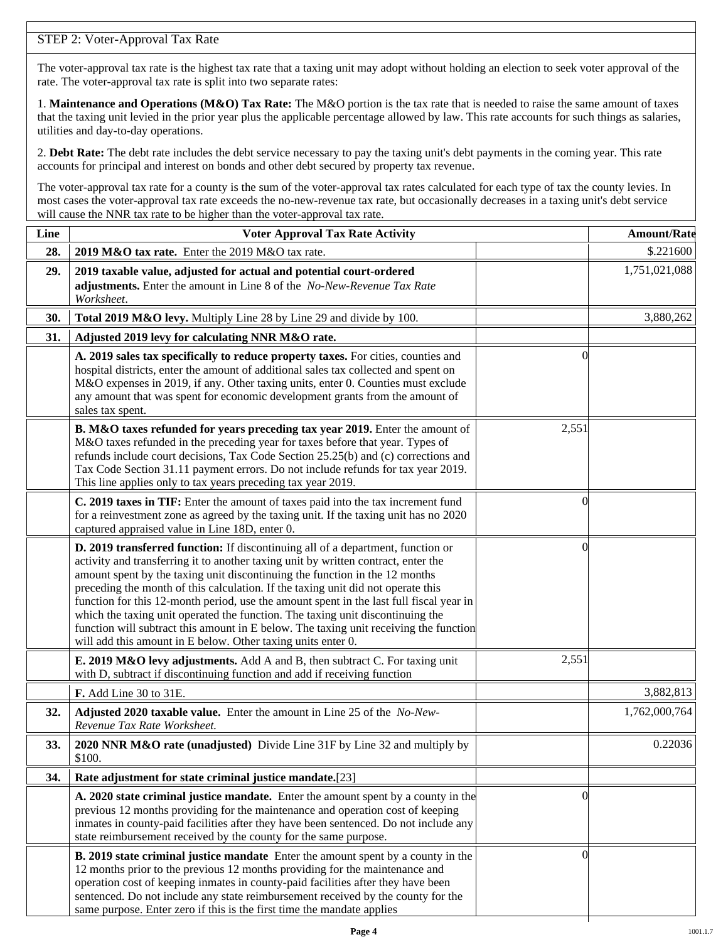# STEP 2: Voter-Approval Tax Rate

The voter-approval tax rate is the highest tax rate that a taxing unit may adopt without holding an election to seek voter approval of the rate. The voter-approval tax rate is split into two separate rates:

1. **Maintenance and Operations (M&O) Tax Rate:** The M&O portion is the tax rate that is needed to raise the same amount of taxes that the taxing unit levied in the prior year plus the applicable percentage allowed by law. This rate accounts for such things as salaries, utilities and day-to-day operations.

2. **Debt Rate:** The debt rate includes the debt service necessary to pay the taxing unit's debt payments in the coming year. This rate accounts for principal and interest on bonds and other debt secured by property tax revenue.

The voter-approval tax rate for a county is the sum of the voter-approval tax rates calculated for each type of tax the county levies. In most cases the voter-approval tax rate exceeds the no-new-revenue tax rate, but occasionally decreases in a taxing unit's debt service will cause the NNR tax rate to be higher than the voter-approval tax rate.

| Line | <b>Voter Approval Tax Rate Activity</b>                                                                                                                                                                                                                                                                                                                                                                                                                                                                                                                                                                                                                                        |                | <b>Amount/Rate</b> |
|------|--------------------------------------------------------------------------------------------------------------------------------------------------------------------------------------------------------------------------------------------------------------------------------------------------------------------------------------------------------------------------------------------------------------------------------------------------------------------------------------------------------------------------------------------------------------------------------------------------------------------------------------------------------------------------------|----------------|--------------------|
| 28.  | 2019 M&O tax rate. Enter the 2019 M&O tax rate.                                                                                                                                                                                                                                                                                                                                                                                                                                                                                                                                                                                                                                |                | \$.221600          |
| 29.  | 2019 taxable value, adjusted for actual and potential court-ordered<br>adjustments. Enter the amount in Line 8 of the No-New-Revenue Tax Rate<br>Worksheet.                                                                                                                                                                                                                                                                                                                                                                                                                                                                                                                    |                | 1,751,021,088      |
| 30.  | Total 2019 M&O levy. Multiply Line 28 by Line 29 and divide by 100.                                                                                                                                                                                                                                                                                                                                                                                                                                                                                                                                                                                                            |                | 3,880,262          |
| 31.  | Adjusted 2019 levy for calculating NNR M&O rate.                                                                                                                                                                                                                                                                                                                                                                                                                                                                                                                                                                                                                               |                |                    |
|      | A. 2019 sales tax specifically to reduce property taxes. For cities, counties and<br>hospital districts, enter the amount of additional sales tax collected and spent on<br>M&O expenses in 2019, if any. Other taxing units, enter 0. Counties must exclude<br>any amount that was spent for economic development grants from the amount of<br>sales tax spent.                                                                                                                                                                                                                                                                                                               | $\Omega$       |                    |
|      | B. M&O taxes refunded for years preceding tax year 2019. Enter the amount of<br>M&O taxes refunded in the preceding year for taxes before that year. Types of<br>refunds include court decisions, Tax Code Section 25.25(b) and (c) corrections and<br>Tax Code Section 31.11 payment errors. Do not include refunds for tax year 2019.<br>This line applies only to tax years preceding tax year 2019.                                                                                                                                                                                                                                                                        | 2,551          |                    |
|      | C. 2019 taxes in TIF: Enter the amount of taxes paid into the tax increment fund<br>for a reinvestment zone as agreed by the taxing unit. If the taxing unit has no 2020<br>captured appraised value in Line 18D, enter 0.                                                                                                                                                                                                                                                                                                                                                                                                                                                     | 0              |                    |
|      | D. 2019 transferred function: If discontinuing all of a department, function or<br>activity and transferring it to another taxing unit by written contract, enter the<br>amount spent by the taxing unit discontinuing the function in the 12 months<br>preceding the month of this calculation. If the taxing unit did not operate this<br>function for this 12-month period, use the amount spent in the last full fiscal year in<br>which the taxing unit operated the function. The taxing unit discontinuing the<br>function will subtract this amount in E below. The taxing unit receiving the function<br>will add this amount in E below. Other taxing units enter 0. | $\left($       |                    |
|      | E. 2019 M&O levy adjustments. Add A and B, then subtract C. For taxing unit<br>with D, subtract if discontinuing function and add if receiving function                                                                                                                                                                                                                                                                                                                                                                                                                                                                                                                        | 2,551          |                    |
|      | F. Add Line 30 to 31E.                                                                                                                                                                                                                                                                                                                                                                                                                                                                                                                                                                                                                                                         |                | 3,882,813          |
| 32.  | Adjusted 2020 taxable value. Enter the amount in Line 25 of the No-New-<br>Revenue Tax Rate Worksheet.                                                                                                                                                                                                                                                                                                                                                                                                                                                                                                                                                                         |                | 1,762,000,764      |
| 33.  | 2020 NNR M&O rate (unadjusted) Divide Line 31F by Line 32 and multiply by<br>\$100.                                                                                                                                                                                                                                                                                                                                                                                                                                                                                                                                                                                            |                | 0.22036            |
| 34.  | Rate adjustment for state criminal justice mandate.[23]                                                                                                                                                                                                                                                                                                                                                                                                                                                                                                                                                                                                                        |                |                    |
|      | A. 2020 state criminal justice mandate. Enter the amount spent by a county in the<br>previous 12 months providing for the maintenance and operation cost of keeping<br>inmates in county-paid facilities after they have been sentenced. Do not include any<br>state reimbursement received by the county for the same purpose.                                                                                                                                                                                                                                                                                                                                                | $\Omega$       |                    |
|      | <b>B. 2019 state criminal justice mandate</b> Enter the amount spent by a county in the<br>12 months prior to the previous 12 months providing for the maintenance and<br>operation cost of keeping inmates in county-paid facilities after they have been<br>sentenced. Do not include any state reimbursement received by the county for the<br>same purpose. Enter zero if this is the first time the mandate applies                                                                                                                                                                                                                                                       | $\overline{0}$ |                    |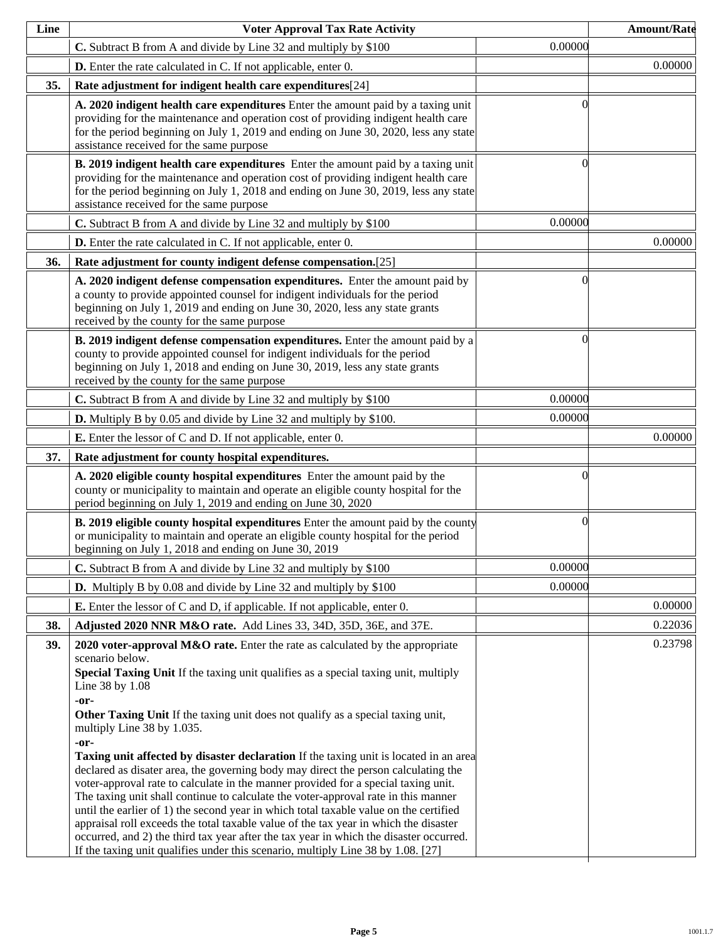| Line | <b>Voter Approval Tax Rate Activity</b>                                                                                                                                                                                                                                                                                                                                                                                                                                                                                                                                                                                                                                                                                                                                                                                                                                                                                                                                                                                                                                      |          | <b>Amount/Rate</b> |
|------|------------------------------------------------------------------------------------------------------------------------------------------------------------------------------------------------------------------------------------------------------------------------------------------------------------------------------------------------------------------------------------------------------------------------------------------------------------------------------------------------------------------------------------------------------------------------------------------------------------------------------------------------------------------------------------------------------------------------------------------------------------------------------------------------------------------------------------------------------------------------------------------------------------------------------------------------------------------------------------------------------------------------------------------------------------------------------|----------|--------------------|
|      | C. Subtract B from A and divide by Line 32 and multiply by \$100                                                                                                                                                                                                                                                                                                                                                                                                                                                                                                                                                                                                                                                                                                                                                                                                                                                                                                                                                                                                             | 0.00000  |                    |
|      | <b>D.</b> Enter the rate calculated in C. If not applicable, enter 0.                                                                                                                                                                                                                                                                                                                                                                                                                                                                                                                                                                                                                                                                                                                                                                                                                                                                                                                                                                                                        |          | 0.00000            |
| 35.  | Rate adjustment for indigent health care expenditures[24]                                                                                                                                                                                                                                                                                                                                                                                                                                                                                                                                                                                                                                                                                                                                                                                                                                                                                                                                                                                                                    |          |                    |
|      | A. 2020 indigent health care expenditures Enter the amount paid by a taxing unit<br>providing for the maintenance and operation cost of providing indigent health care<br>for the period beginning on July 1, 2019 and ending on June 30, 2020, less any state<br>assistance received for the same purpose                                                                                                                                                                                                                                                                                                                                                                                                                                                                                                                                                                                                                                                                                                                                                                   | ſ        |                    |
|      | <b>B.</b> 2019 indigent health care expenditures Enter the amount paid by a taxing unit<br>providing for the maintenance and operation cost of providing indigent health care<br>for the period beginning on July 1, 2018 and ending on June 30, 2019, less any state<br>assistance received for the same purpose                                                                                                                                                                                                                                                                                                                                                                                                                                                                                                                                                                                                                                                                                                                                                            | 0        |                    |
|      | C. Subtract B from A and divide by Line 32 and multiply by \$100                                                                                                                                                                                                                                                                                                                                                                                                                                                                                                                                                                                                                                                                                                                                                                                                                                                                                                                                                                                                             | 0.00000  |                    |
|      | D. Enter the rate calculated in C. If not applicable, enter 0.                                                                                                                                                                                                                                                                                                                                                                                                                                                                                                                                                                                                                                                                                                                                                                                                                                                                                                                                                                                                               |          | 0.00000            |
| 36.  | Rate adjustment for county indigent defense compensation.[25]                                                                                                                                                                                                                                                                                                                                                                                                                                                                                                                                                                                                                                                                                                                                                                                                                                                                                                                                                                                                                |          |                    |
|      | A. 2020 indigent defense compensation expenditures. Enter the amount paid by<br>a county to provide appointed counsel for indigent individuals for the period<br>beginning on July 1, 2019 and ending on June 30, 2020, less any state grants<br>received by the county for the same purpose                                                                                                                                                                                                                                                                                                                                                                                                                                                                                                                                                                                                                                                                                                                                                                                 | 0        |                    |
|      | B. 2019 indigent defense compensation expenditures. Enter the amount paid by a<br>county to provide appointed counsel for indigent individuals for the period<br>beginning on July 1, 2018 and ending on June 30, 2019, less any state grants<br>received by the county for the same purpose                                                                                                                                                                                                                                                                                                                                                                                                                                                                                                                                                                                                                                                                                                                                                                                 | 0        |                    |
|      | C. Subtract B from A and divide by Line 32 and multiply by \$100                                                                                                                                                                                                                                                                                                                                                                                                                                                                                                                                                                                                                                                                                                                                                                                                                                                                                                                                                                                                             | 0.00000  |                    |
|      | <b>D.</b> Multiply B by 0.05 and divide by Line 32 and multiply by \$100.                                                                                                                                                                                                                                                                                                                                                                                                                                                                                                                                                                                                                                                                                                                                                                                                                                                                                                                                                                                                    | 0.00000  |                    |
|      | <b>E.</b> Enter the lessor of C and D. If not applicable, enter 0.                                                                                                                                                                                                                                                                                                                                                                                                                                                                                                                                                                                                                                                                                                                                                                                                                                                                                                                                                                                                           |          | 0.00000            |
| 37.  | Rate adjustment for county hospital expenditures.                                                                                                                                                                                                                                                                                                                                                                                                                                                                                                                                                                                                                                                                                                                                                                                                                                                                                                                                                                                                                            |          |                    |
|      | A. 2020 eligible county hospital expenditures Enter the amount paid by the<br>county or municipality to maintain and operate an eligible county hospital for the<br>period beginning on July 1, 2019 and ending on June 30, 2020                                                                                                                                                                                                                                                                                                                                                                                                                                                                                                                                                                                                                                                                                                                                                                                                                                             | 0        |                    |
|      | <b>B. 2019 eligible county hospital expenditures</b> Enter the amount paid by the county<br>or municipality to maintain and operate an eligible county hospital for the period<br>beginning on July 1, 2018 and ending on June 30, 2019                                                                                                                                                                                                                                                                                                                                                                                                                                                                                                                                                                                                                                                                                                                                                                                                                                      | $\Omega$ |                    |
|      | C. Subtract B from A and divide by Line 32 and multiply by \$100                                                                                                                                                                                                                                                                                                                                                                                                                                                                                                                                                                                                                                                                                                                                                                                                                                                                                                                                                                                                             | 0.00000  |                    |
|      | <b>D.</b> Multiply B by 0.08 and divide by Line 32 and multiply by \$100                                                                                                                                                                                                                                                                                                                                                                                                                                                                                                                                                                                                                                                                                                                                                                                                                                                                                                                                                                                                     | 0.00000  |                    |
|      | <b>E.</b> Enter the lessor of C and D, if applicable. If not applicable, enter 0.                                                                                                                                                                                                                                                                                                                                                                                                                                                                                                                                                                                                                                                                                                                                                                                                                                                                                                                                                                                            |          | 0.00000            |
| 38.  | Adjusted 2020 NNR M&O rate. Add Lines 33, 34D, 35D, 36E, and 37E.                                                                                                                                                                                                                                                                                                                                                                                                                                                                                                                                                                                                                                                                                                                                                                                                                                                                                                                                                                                                            |          | 0.22036            |
| 39.  | 2020 voter-approval M&O rate. Enter the rate as calculated by the appropriate<br>scenario below.<br>Special Taxing Unit If the taxing unit qualifies as a special taxing unit, multiply<br>Line 38 by 1.08<br>-or-<br>Other Taxing Unit If the taxing unit does not qualify as a special taxing unit,<br>multiply Line 38 by 1.035.<br>-or-<br><b>Taxing unit affected by disaster declaration</b> If the taxing unit is located in an area<br>declared as disater area, the governing body may direct the person calculating the<br>voter-approval rate to calculate in the manner provided for a special taxing unit.<br>The taxing unit shall continue to calculate the voter-approval rate in this manner<br>until the earlier of 1) the second year in which total taxable value on the certified<br>appraisal roll exceeds the total taxable value of the tax year in which the disaster<br>occurred, and 2) the third tax year after the tax year in which the disaster occurred.<br>If the taxing unit qualifies under this scenario, multiply Line 38 by 1.08. [27] |          | 0.23798            |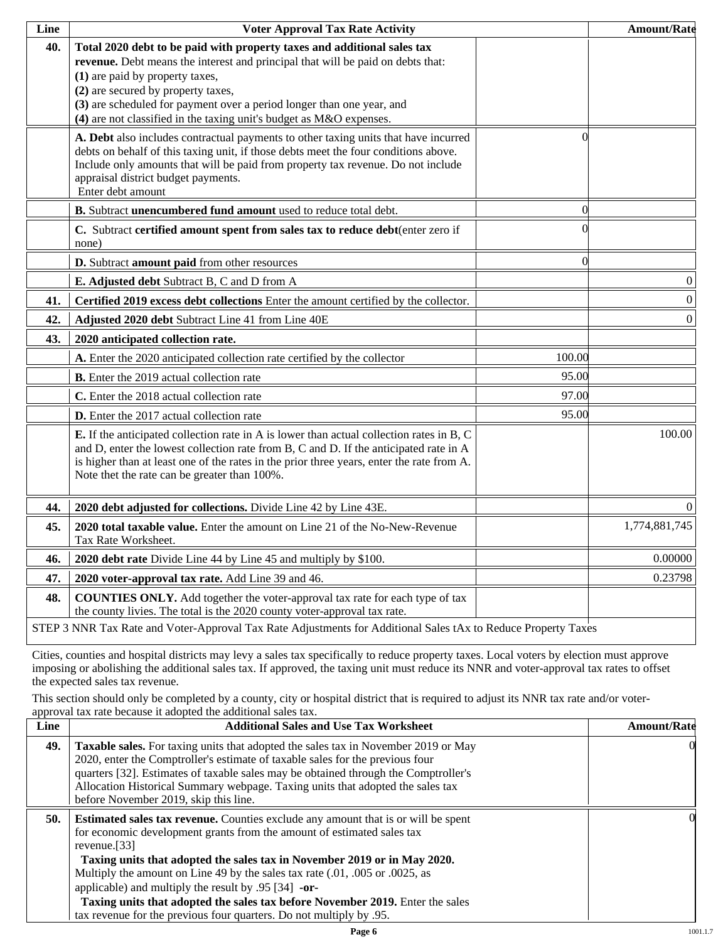| Line | <b>Voter Approval Tax Rate Activity</b>                                                                                                                                                                                                                                                                                                                                             |          | <b>Amount/Rate</b> |
|------|-------------------------------------------------------------------------------------------------------------------------------------------------------------------------------------------------------------------------------------------------------------------------------------------------------------------------------------------------------------------------------------|----------|--------------------|
| 40.  | Total 2020 debt to be paid with property taxes and additional sales tax<br>revenue. Debt means the interest and principal that will be paid on debts that:<br>(1) are paid by property taxes,<br>(2) are secured by property taxes,<br>(3) are scheduled for payment over a period longer than one year, and<br>(4) are not classified in the taxing unit's budget as M&O expenses. |          |                    |
|      | A. Debt also includes contractual payments to other taxing units that have incurred<br>debts on behalf of this taxing unit, if those debts meet the four conditions above.<br>Include only amounts that will be paid from property tax revenue. Do not include<br>appraisal district budget payments.<br>Enter debt amount                                                          | 0        |                    |
|      | B. Subtract unencumbered fund amount used to reduce total debt.                                                                                                                                                                                                                                                                                                                     | $\Omega$ |                    |
|      | C. Subtract certified amount spent from sales tax to reduce debt(enter zero if<br>none)                                                                                                                                                                                                                                                                                             |          |                    |
|      | D. Subtract amount paid from other resources                                                                                                                                                                                                                                                                                                                                        | $\Omega$ |                    |
|      | E. Adjusted debt Subtract B, C and D from A                                                                                                                                                                                                                                                                                                                                         |          | $\boldsymbol{0}$   |
| 41.  | Certified 2019 excess debt collections Enter the amount certified by the collector.                                                                                                                                                                                                                                                                                                 |          | $\vert 0 \vert$    |
| 42.  | Adjusted 2020 debt Subtract Line 41 from Line 40E                                                                                                                                                                                                                                                                                                                                   |          | $\vert 0 \vert$    |
| 43.  | 2020 anticipated collection rate.                                                                                                                                                                                                                                                                                                                                                   |          |                    |
|      | A. Enter the 2020 anticipated collection rate certified by the collector                                                                                                                                                                                                                                                                                                            | 100.00   |                    |
|      | <b>B.</b> Enter the 2019 actual collection rate                                                                                                                                                                                                                                                                                                                                     | 95.00    |                    |
|      | C. Enter the 2018 actual collection rate                                                                                                                                                                                                                                                                                                                                            | 97.00    |                    |
|      | <b>D.</b> Enter the 2017 actual collection rate                                                                                                                                                                                                                                                                                                                                     | 95.00    |                    |
|      | E. If the anticipated collection rate in A is lower than actual collection rates in B, C<br>and D, enter the lowest collection rate from B, C and D. If the anticipated rate in A<br>is higher than at least one of the rates in the prior three years, enter the rate from A.<br>Note thet the rate can be greater than 100%.                                                      |          | 100.00             |
| 44.  | 2020 debt adjusted for collections. Divide Line 42 by Line 43E.                                                                                                                                                                                                                                                                                                                     |          | $\Omega$           |
| 45.  | 2020 total taxable value. Enter the amount on Line 21 of the No-New-Revenue<br>Tax Rate Worksheet.                                                                                                                                                                                                                                                                                  |          | 1,774,881,745      |
| 46.  | 2020 debt rate Divide Line 44 by Line 45 and multiply by \$100.                                                                                                                                                                                                                                                                                                                     |          | 0.00000            |
| 47.  | 2020 voter-approval tax rate. Add Line 39 and 46.                                                                                                                                                                                                                                                                                                                                   |          | 0.23798            |
| 48.  | <b>COUNTIES ONLY.</b> Add together the voter-approval tax rate for each type of tax<br>the county livies. The total is the 2020 county voter-approval tax rate.                                                                                                                                                                                                                     |          |                    |
|      | STEP 3 NNR Tax Rate and Voter-Approval Tax Rate Adjustments for Additional Sales tAx to Reduce Property Taxes                                                                                                                                                                                                                                                                       |          |                    |

Cities, counties and hospital districts may levy a sales tax specifically to reduce property taxes. Local voters by election must approve imposing or abolishing the additional sales tax. If approved, the taxing unit must reduce its NNR and voter-approval tax rates to offset the expected sales tax revenue.

This section should only be completed by a county, city or hospital district that is required to adjust its NNR tax rate and/or voterapproval tax rate because it adopted the additional sales tax.

| <b>Additional Sales and Use Tax Worksheet</b>                                                                                                                                                                                                                                                                                                                                                                                                                                                | <b>Amount/Rate</b>                                                  |
|----------------------------------------------------------------------------------------------------------------------------------------------------------------------------------------------------------------------------------------------------------------------------------------------------------------------------------------------------------------------------------------------------------------------------------------------------------------------------------------------|---------------------------------------------------------------------|
| Taxable sales. For taxing units that adopted the sales tax in November 2019 or May<br>2020, enter the Comptroller's estimate of taxable sales for the previous four<br>quarters [32]. Estimates of taxable sales may be obtained through the Comptroller's<br>Allocation Historical Summary webpage. Taxing units that adopted the sales tax<br>before November 2019, skip this line.                                                                                                        | $\Omega$                                                            |
| <b>Estimated sales tax revenue.</b> Counties exclude any amount that is or will be spent<br>for economic development grants from the amount of estimated sales tax<br>revenue. $[33]$<br>Taxing units that adopted the sales tax in November 2019 or in May 2020.<br>Multiply the amount on Line 49 by the sales tax rate (.01, .005 or .0025, as<br>applicable) and multiply the result by $.95$ [34] -or-<br>Taxing units that adopted the sales tax before November 2019. Enter the sales | OI.                                                                 |
|                                                                                                                                                                                                                                                                                                                                                                                                                                                                                              | tax revenue for the previous four quarters. Do not multiply by .95. |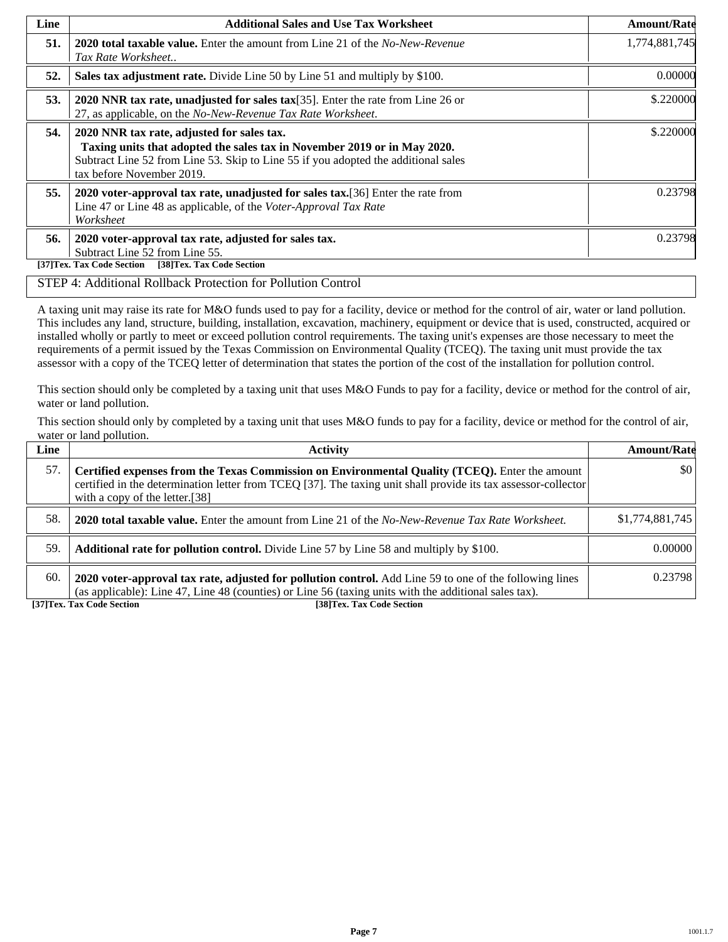| Line | <b>Additional Sales and Use Tax Worksheet</b>                                                                                                                                                                                             | <b>Amount/Rate</b> |
|------|-------------------------------------------------------------------------------------------------------------------------------------------------------------------------------------------------------------------------------------------|--------------------|
| 51.  | <b>2020 total taxable value.</b> Enter the amount from Line 21 of the No-New-Revenue<br>Tax Rate Worksheet                                                                                                                                | 1,774,881,745      |
| 52.  | Sales tax adjustment rate. Divide Line 50 by Line 51 and multiply by \$100.                                                                                                                                                               | 0.00000            |
| 53.  | 2020 NNR tax rate, unadjusted for sales tax[35]. Enter the rate from Line 26 or<br>27, as applicable, on the No-New-Revenue Tax Rate Worksheet.                                                                                           | \$.220000          |
| 54.  | 2020 NNR tax rate, adjusted for sales tax.<br>Taxing units that adopted the sales tax in November 2019 or in May 2020.<br>Subtract Line 52 from Line 53. Skip to Line 55 if you adopted the additional sales<br>tax before November 2019. | \$.220000          |
| 55.  | 2020 voter-approval tax rate, unadjusted for sales tax. [36] Enter the rate from<br>Line 47 or Line 48 as applicable, of the Voter-Approval Tax Rate<br>Worksheet                                                                         | 0.23798            |
| 56.  | 2020 voter-approval tax rate, adjusted for sales tax.<br>Subtract Line 52 from Line 55.<br>[38]Tex. Tax Code Section<br>[37]Tex. Tax Code Section                                                                                         | 0.23798            |

#### STEP 4: Additional Rollback Protection for Pollution Control

A taxing unit may raise its rate for M&O funds used to pay for a facility, device or method for the control of air, water or land pollution. This includes any land, structure, building, installation, excavation, machinery, equipment or device that is used, constructed, acquired or installed wholly or partly to meet or exceed pollution control requirements. The taxing unit's expenses are those necessary to meet the requirements of a permit issued by the Texas Commission on Environmental Quality (TCEQ). The taxing unit must provide the tax assessor with a copy of the TCEQ letter of determination that states the portion of the cost of the installation for pollution control.

This section should only be completed by a taxing unit that uses M&O Funds to pay for a facility, device or method for the control of air, water or land pollution.

This section should only by completed by a taxing unit that uses M&O funds to pay for a facility, device or method for the control of air, water or land pollution.

| Line | <b>Activity</b>                                                                                                                                                                                                                                    | <b>Amount/Rate</b>      |
|------|----------------------------------------------------------------------------------------------------------------------------------------------------------------------------------------------------------------------------------------------------|-------------------------|
| 57.  | Certified expenses from the Texas Commission on Environmental Quality (TCEQ). Enter the amount<br>certified in the determination letter from TCEQ [37]. The taxing unit shall provide its tax assessor-collector<br>with a copy of the letter.[38] | $\vert \$\text{0}\vert$ |
| 58.  | <b>2020 total taxable value.</b> Enter the amount from Line 21 of the No-New-Revenue Tax Rate Worksheet.                                                                                                                                           | \$1,774,881,745         |
| 59.  | <b>Additional rate for pollution control.</b> Divide Line 57 by Line 58 and multiply by \$100.                                                                                                                                                     | 0.00000                 |
| 60.  | 2020 voter-approval tax rate, adjusted for pollution control. Add Line 59 to one of the following lines<br>(as applicable): Line 47, Line 48 (counties) or Line 56 (taxing units with the additional sales tax).                                   | 0.23798                 |

**[37]Tex. Tax Code Section [38]Tex. Tax Code Section**